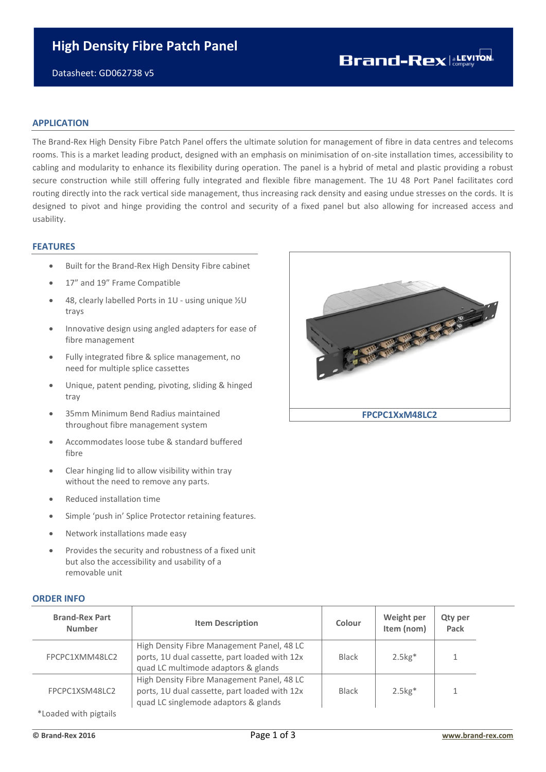Datasheet: GD062738 v5

## **Brand-Rex** a**LEVITON**

#### **APPLICATION**

The Brand-Rex High Density Fibre Patch Panel offers the ultimate solution for management of fibre in data centres and telecoms rooms. This is a market leading product, designed with an emphasis on minimisation of on-site installation times, accessibility to cabling and modularity to enhance its flexibility during operation. The panel is a hybrid of metal and plastic providing a robust secure construction while still offering fully integrated and flexible fibre management. The 1U 48 Port Panel facilitates cord routing directly into the rack vertical side management, thus increasing rack density and easing undue stresses on the cords. It is designed to pivot and hinge providing the control and security of a fixed panel but also allowing for increased access and usability.

#### **FEATURES**

- Built for the Brand-Rex High Density Fibre cabinet
- 17" and 19" Frame Compatible
- 48, clearly labelled Ports in 1U using unique ½U trays
- Innovative design using angled adapters for ease of fibre management
- Fully integrated fibre & splice management, no need for multiple splice cassettes
- Unique, patent pending, pivoting, sliding & hinged tray
- 35mm Minimum Bend Radius maintained throughout fibre management system
- Accommodates loose tube & standard buffered fibre
- Clear hinging lid to allow visibility within tray without the need to remove any parts.
- Reduced installation time
- Simple 'push in' Splice Protector retaining features.
- Network installations made easy
- Provides the security and robustness of a fixed unit but also the accessibility and usability of a removable unit

# RECEIVED AND RECEIVED AND RECEIVED AND RECEIVED AND RECEIVED AND RECEIVED AND RECEIVED AND RECEIVED AND RECEIVED AND RECEIVED AND RECEIVED AND RECEIVED AND RECEIVED AND RECEIVED AND RECEIVED AND RECEIVED AND RECEIVED AND R **FPCPC1XxM48LC2**

|  | <b>ORDER INFO</b> |  |
|--|-------------------|--|
|  |                   |  |
|  |                   |  |

| <b>Brand-Rex Part</b><br><b>Number</b> | <b>Item Description</b>                                                                                                             | Colour       | Weight per<br>Item (nom) | <b>Qty per</b><br>Pack |
|----------------------------------------|-------------------------------------------------------------------------------------------------------------------------------------|--------------|--------------------------|------------------------|
| FPCPC1XMM48LC2                         | High Density Fibre Management Panel, 48 LC<br>ports, 1U dual cassette, part loaded with 12x<br>quad LC multimode adaptors & glands  | <b>Black</b> | $2.5kg*$                 |                        |
| FPCPC1XSM48LC2                         | High Density Fibre Management Panel, 48 LC<br>ports, 1U dual cassette, part loaded with 12x<br>quad LC singlemode adaptors & glands | Black        | $2.5kg*$                 |                        |
| *Loaded with pigtails                  |                                                                                                                                     |              |                          |                        |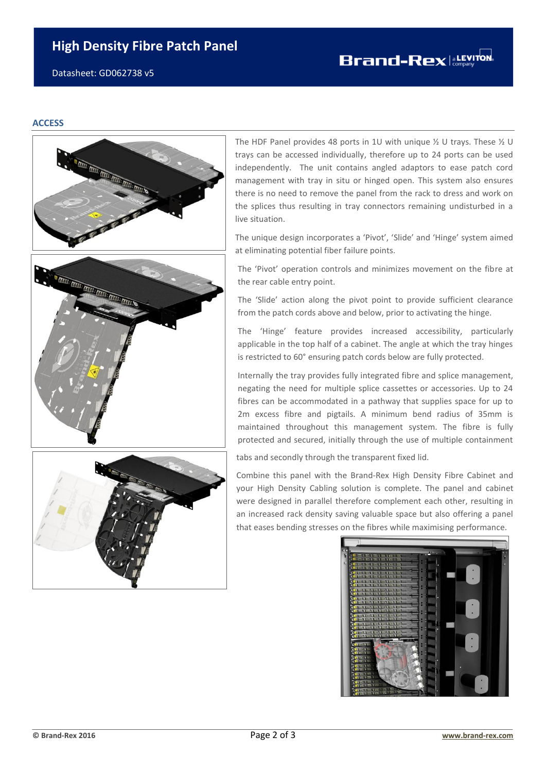### **High Density Fibre Patch Panel**

Datasheet: GD062738 v5

#### **ACCESS**



The HDF Panel provides 48 ports in 1U with unique ½ U trays. These ½ U trays can be accessed individually, therefore up to 24 ports can be used independently. The unit contains angled adaptors to ease patch cord management with tray in situ or hinged open. This system also ensures there is no need to remove the panel from the rack to dress and work on the splices thus resulting in tray connectors remaining undisturbed in a live situation.

The unique design incorporates a 'Pivot', 'Slide' and 'Hinge' system aimed at eliminating potential fiber failure points.

The 'Pivot' operation controls and minimizes movement on the fibre at the rear cable entry point.

The 'Slide' action along the pivot point to provide sufficient clearance from the patch cords above and below, prior to activating the hinge.

The 'Hinge' feature provides increased accessibility, particularly applicable in the top half of a cabinet. The angle at which the tray hinges is restricted to 60° ensuring patch cords below are fully protected.

Internally the tray provides fully integrated fibre and splice management, negating the need for multiple splice cassettes or accessories. Up to 24 fibres can be accommodated in a pathway that supplies space for up to 2m excess fibre and pigtails. A minimum bend radius of 35mm is maintained throughout this management system. The fibre is fully protected and secured, initially through the use of multiple containment

tabs and secondly through the transparent fixed lid.

Combine this panel with the Brand-Rex High Density Fibre Cabinet and your High Density Cabling solution is complete. The panel and cabinet were designed in parallel therefore complement each other, resulting in an increased rack density saving valuable space but also offering a panel that eases bending stresses on the fibres while maximising performance.